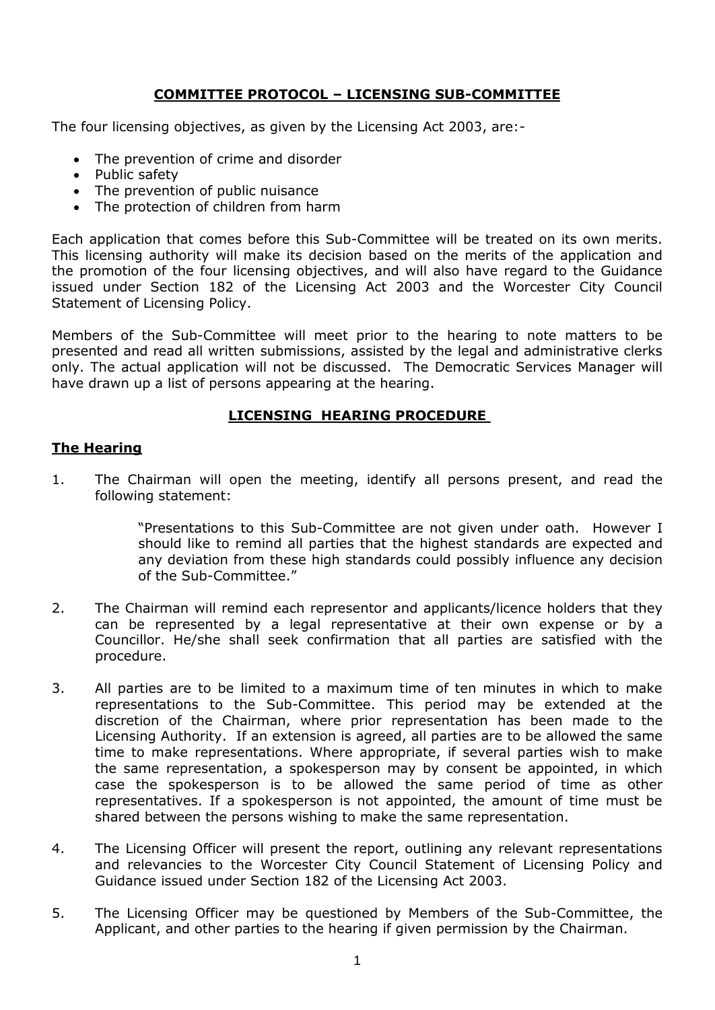# **COMMITTEE PROTOCOL – LICENSING SUB-COMMITTEE**

The four licensing objectives, as given by the Licensing Act 2003, are:-

- The prevention of crime and disorder
- Public safety
- The prevention of public nuisance
- The protection of children from harm

Each application that comes before this Sub-Committee will be treated on its own merits. This licensing authority will make its decision based on the merits of the application and the promotion of the four licensing objectives, and will also have regard to the Guidance issued under Section 182 of the Licensing Act 2003 and the Worcester City Council Statement of Licensing Policy.

Members of the Sub-Committee will meet prior to the hearing to note matters to be presented and read all written submissions, assisted by the legal and administrative clerks only. The actual application will not be discussed. The Democratic Services Manager will have drawn up a list of persons appearing at the hearing.

## **LICENSING HEARING PROCEDURE**

## **The Hearing**

1. The Chairman will open the meeting, identify all persons present, and read the following statement:

> "Presentations to this Sub-Committee are not given under oath. However I should like to remind all parties that the highest standards are expected and any deviation from these high standards could possibly influence any decision of the Sub-Committee."

- 2. The Chairman will remind each representor and applicants/licence holders that they can be represented by a legal representative at their own expense or by a Councillor. He/she shall seek confirmation that all parties are satisfied with the procedure.
- 3. All parties are to be limited to a maximum time of ten minutes in which to make representations to the Sub-Committee. This period may be extended at the discretion of the Chairman, where prior representation has been made to the Licensing Authority. If an extension is agreed, all parties are to be allowed the same time to make representations. Where appropriate, if several parties wish to make the same representation, a spokesperson may by consent be appointed, in which case the spokesperson is to be allowed the same period of time as other representatives. If a spokesperson is not appointed, the amount of time must be shared between the persons wishing to make the same representation.
- 4. The Licensing Officer will present the report, outlining any relevant representations and relevancies to the Worcester City Council Statement of Licensing Policy and Guidance issued under Section 182 of the Licensing Act 2003.
- 5. The Licensing Officer may be questioned by Members of the Sub-Committee, the Applicant, and other parties to the hearing if given permission by the Chairman.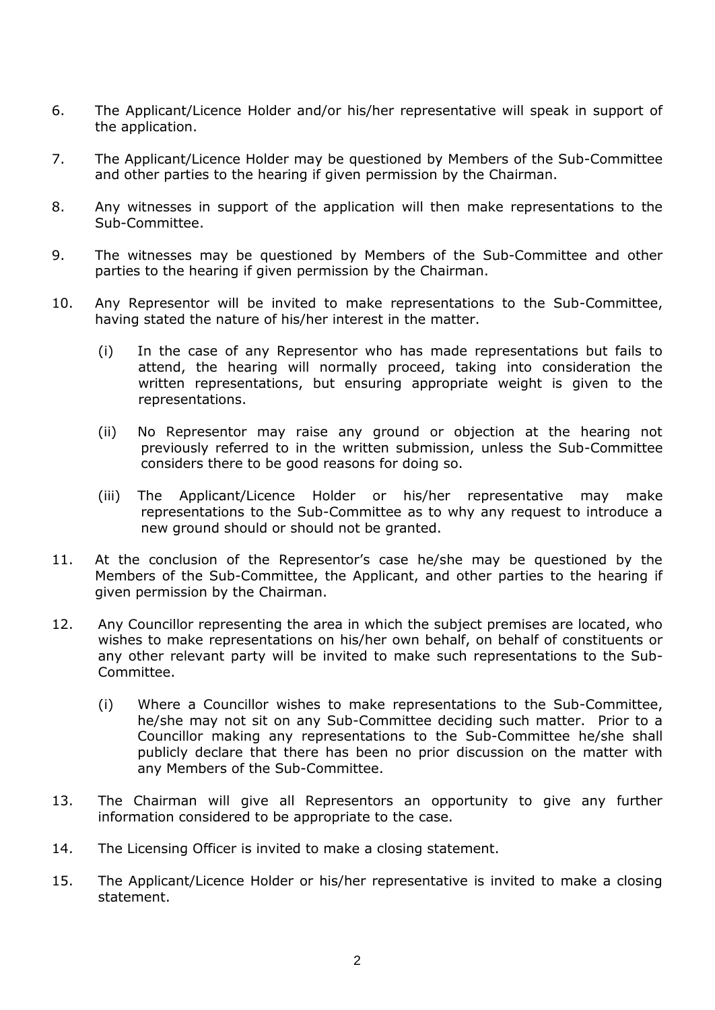- 6. The Applicant/Licence Holder and/or his/her representative will speak in support of the application.
- 7. The Applicant/Licence Holder may be questioned by Members of the Sub-Committee and other parties to the hearing if given permission by the Chairman.
- 8. Any witnesses in support of the application will then make representations to the Sub-Committee.
- 9. The witnesses may be questioned by Members of the Sub-Committee and other parties to the hearing if given permission by the Chairman.
- 10. Any Representor will be invited to make representations to the Sub-Committee, having stated the nature of his/her interest in the matter.
	- (i) In the case of any Representor who has made representations but fails to attend, the hearing will normally proceed, taking into consideration the written representations, but ensuring appropriate weight is given to the representations.
	- (ii) No Representor may raise any ground or objection at the hearing not previously referred to in the written submission, unless the Sub-Committee considers there to be good reasons for doing so.
	- (iii) The Applicant/Licence Holder or his/her representative may make representations to the Sub-Committee as to why any request to introduce a new ground should or should not be granted.
- 11. At the conclusion of the Representor's case he/she may be questioned by the Members of the Sub-Committee, the Applicant, and other parties to the hearing if given permission by the Chairman.
- 12. Any Councillor representing the area in which the subject premises are located, who wishes to make representations on his/her own behalf, on behalf of constituents or any other relevant party will be invited to make such representations to the Sub-Committee.
	- (i) Where a Councillor wishes to make representations to the Sub-Committee, he/she may not sit on any Sub-Committee deciding such matter. Prior to a Councillor making any representations to the Sub-Committee he/she shall publicly declare that there has been no prior discussion on the matter with any Members of the Sub-Committee.
- 13. The Chairman will give all Representors an opportunity to give any further information considered to be appropriate to the case.
- 14. The Licensing Officer is invited to make a closing statement.
- 15. The Applicant/Licence Holder or his/her representative is invited to make a closing statement.